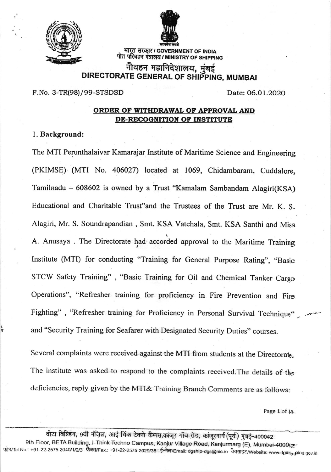

I

i i<br>S



् भारत सरकार / GOVERNMENT OF INDIA<br>पोत परिवहन मंत्रालय / MINISTRY OF SHIPPING भारत सरकार / GOVERNMENT OF INDIA

# नौवहन महानिदेशालय, <u>मु</u>ंबई DIRECTORATE GENERAL OF SHIPPING, MUMBAI

F.No. 3-TR(98)/99-STSDSD Date: O6.Ol.2O2O

## ORDER OF WITHDRAWAL OF APPROVAL AND DE-RECOGNITION OF INSTITUTE

### l. Background:

The MTI Perunthalaivar Kamarajar Institute of Maritime Science and Engineering (PKIMSE) (MTI No. 406027) located at 1069, Chidambaram, Cuddalore, Tamilnadu - 608602 is owned by a Trust "Kamalam Sambandam Alagiri(KSA) Educational and Charitable Trust"and the Trustees of the Trust are Mr. K. S-Alagiri, Mr. S. Soundrapandian , Smt. KSA Vatchala, Smt. KSA Santhi and Miss A. Anusaya . The Directorate had accorded approval to the Maritime Training Institute (MTI) for conducting "Training for General Purpose Rating", "Basic STCW Safety Training" , "Basic Training for Oil and Chemical Tanker Cargo Operations", "Refresher training for proficiency in Fire Prevention and Fire Fighting", "Refresher training for Proficiency in Personal Survival Technique" and "Security Training for Seafarer with Designated Security Duties" courses.

Several complaints were received against the MTI from students at the Directorate. The institute was asked to respond to the complaints received.The details of the deficiencies, reply given by the MTI& Training Branch comments are as follows:

Page 1 of l4

वीटा बिल्डिंग, 9वीं मंजिल, आई थिंक टेक्नो कैम्पस,कांजूर गाँव रोड, कांजूरमार्ग (पूर्व) मुंबई-400042<br>400042-9th Floor, BETA Building, l-Think Techno Campus, Kanjur Village Road, Kanjurmarg (E), Mumbai 'फ्रोन/Tel No.: +91-22-2575 2040/1/2/3 फ़ैक्स/Fax.: +91-22-2575 2029/35 ई=मेल/Email: dgship-dgs@nic.in वैवसाइट/Website: www.dgsh<sub>ip P</sub>ing.gov.in